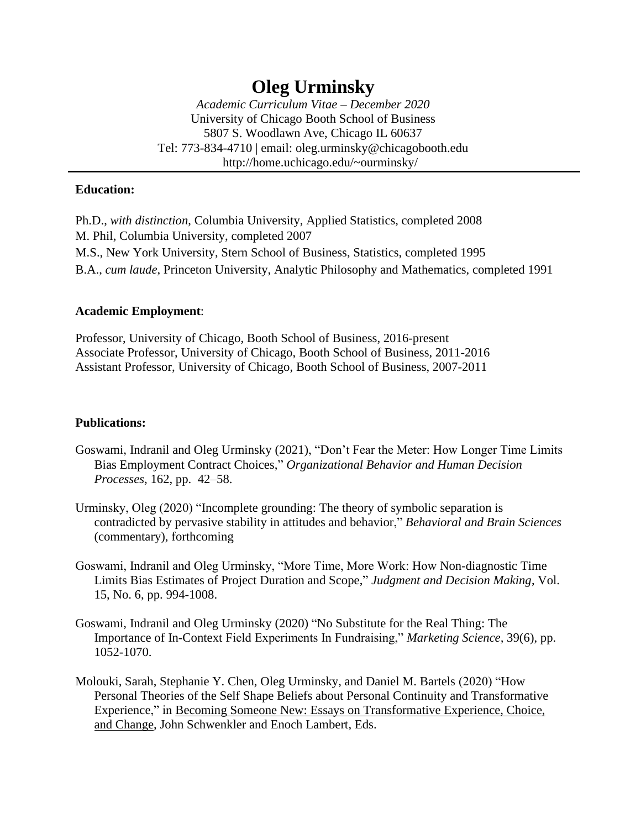# **Oleg Urminsky**

*Academic Curriculum Vitae – December 2020* University of Chicago Booth School of Business 5807 S. Woodlawn Ave, Chicago IL 60637 Tel: 773-834-4710 | email: oleg.urminsky@chicagobooth.edu http://home.uchicago.edu/~ourminsky/

## **Education:**

Ph.D., *with distinction*, Columbia University, Applied Statistics, completed 2008 M. Phil, Columbia University, completed 2007 M.S., New York University, Stern School of Business, Statistics, completed 1995 B.A., *cum laude*, Princeton University, Analytic Philosophy and Mathematics, completed 1991

## **Academic Employment**:

Professor, University of Chicago, Booth School of Business, 2016-present Associate Professor, University of Chicago, Booth School of Business, 2011-2016 Assistant Professor, University of Chicago, Booth School of Business, 2007-2011

# **Publications:**

- Goswami, Indranil and Oleg Urminsky (2021), "Don't Fear the Meter: How Longer Time Limits Bias Employment Contract Choices," *Organizational Behavior and Human Decision Processes*, 162, pp. 42–58.
- Urminsky, Oleg (2020) "Incomplete grounding: The theory of symbolic separation is contradicted by pervasive stability in attitudes and behavior," *Behavioral and Brain Sciences* (commentary), forthcoming
- Goswami, Indranil and Oleg Urminsky, "More Time, More Work: How Non-diagnostic Time Limits Bias Estimates of Project Duration and Scope," *Judgment and Decision Making*, Vol. 15, No. 6, pp. 994-1008.
- Goswami, Indranil and Oleg Urminsky (2020) "No Substitute for the Real Thing: The Importance of In-Context Field Experiments In Fundraising," *Marketing Science,* 39(6), pp. 1052-1070.
- Molouki, Sarah, Stephanie Y. Chen, Oleg Urminsky, and Daniel M. Bartels (2020) "How Personal Theories of the Self Shape Beliefs about Personal Continuity and Transformative Experience," in Becoming Someone New: Essays on Transformative Experience, Choice, and Change, John Schwenkler and Enoch Lambert, Eds.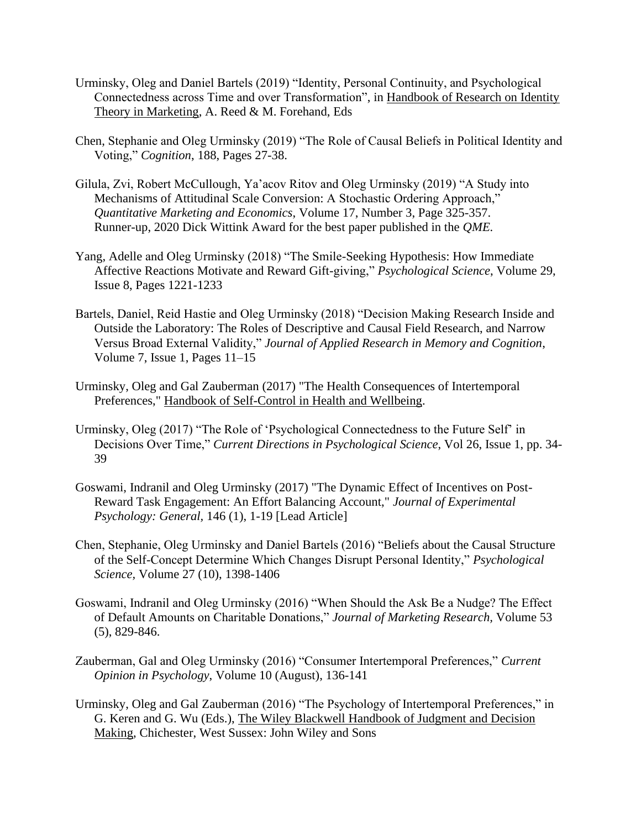- Urminsky, Oleg and Daniel Bartels (2019) "Identity, Personal Continuity, and Psychological Connectedness across Time and over Transformation", in Handbook of Research on Identity Theory in Marketing, A. Reed & M. Forehand, Eds
- Chen, Stephanie and Oleg Urminsky (2019) "The Role of Causal Beliefs in Political Identity and Voting," *Cognition*, 188, Pages 27-38.
- Gilula, Zvi, Robert McCullough, Ya'acov Ritov and Oleg Urminsky (2019) "A Study into Mechanisms of Attitudinal Scale Conversion: A Stochastic Ordering Approach," *Quantitative Marketing and Economics*, Volume 17, Number 3, Page 325-357. Runner-up, 2020 Dick Wittink Award for the best paper published in the *QME.*
- Yang, Adelle and Oleg Urminsky (2018) "The Smile-Seeking Hypothesis: How Immediate Affective Reactions Motivate and Reward Gift-giving," *Psychological Science*, Volume 29, Issue 8, Pages 1221-1233
- Bartels, Daniel, Reid Hastie and Oleg Urminsky (2018) "Decision Making Research Inside and Outside the Laboratory: The Roles of Descriptive and Causal Field Research, and Narrow Versus Broad External Validity," *Journal of Applied Research in Memory and Cognition*, Volume 7, Issue 1, Pages 11–15
- Urminsky, Oleg and Gal Zauberman (2017) "The Health Consequences of Intertemporal Preferences," Handbook of Self-Control in Health and Wellbeing.
- Urminsky, Oleg (2017) "The Role of 'Psychological Connectedness to the Future Self' in Decisions Over Time," *Current Directions in Psychological Science*, Vol 26, Issue 1, pp. 34- 39
- Goswami, Indranil and Oleg Urminsky (2017) "The Dynamic Effect of Incentives on Post-Reward Task Engagement: An Effort Balancing Account," *Journal of Experimental Psychology: General,* 146 (1), 1-19 [Lead Article]
- Chen, Stephanie, Oleg Urminsky and Daniel Bartels (2016) "Beliefs about the Causal Structure of the Self-Concept Determine Which Changes Disrupt Personal Identity," *Psychological Science,* Volume 27 (10), 1398-1406
- Goswami, Indranil and Oleg Urminsky (2016) "When Should the Ask Be a Nudge? The Effect of Default Amounts on Charitable Donations," *Journal of Marketing Research,* Volume 53 (5), 829-846.
- Zauberman, Gal and Oleg Urminsky (2016) "Consumer Intertemporal Preferences," *Current Opinion in Psychology*, Volume 10 (August), 136-141
- Urminsky, Oleg and Gal Zauberman (2016) "The Psychology of Intertemporal Preferences," in G. Keren and G. Wu (Eds.), The Wiley Blackwell Handbook of Judgment and Decision Making, Chichester, West Sussex: John Wiley and Sons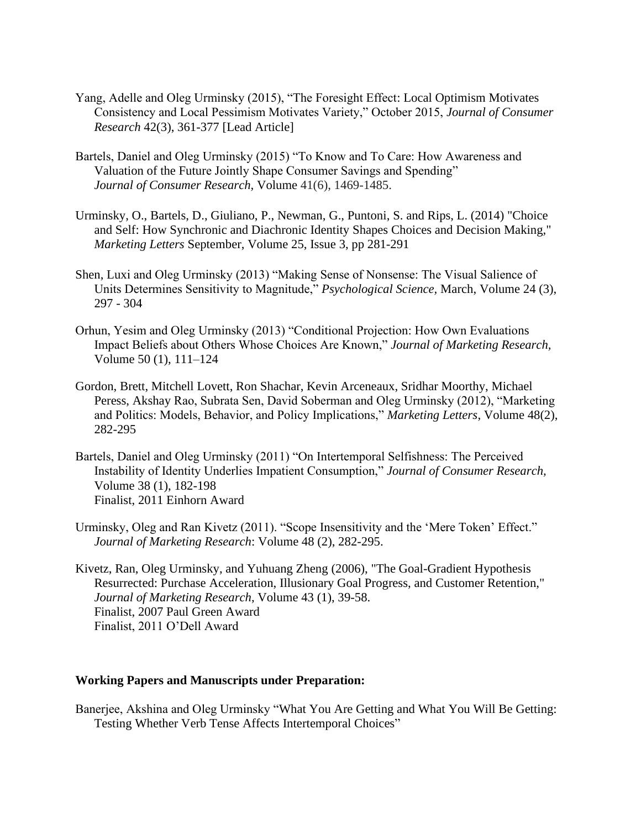- Yang, Adelle and Oleg Urminsky (2015), "The Foresight Effect: Local Optimism Motivates Consistency and Local Pessimism Motivates Variety," October 2015, *Journal of Consumer Research* 42(3), 361-377 [Lead Article]
- Bartels, Daniel and Oleg Urminsky (2015) "To Know and To Care: How Awareness and Valuation of the Future Jointly Shape Consumer Savings and Spending" *Journal of Consumer Research,* Volume 41(6), 1469-1485.
- Urminsky, O., Bartels, D., Giuliano, P., Newman, G., Puntoni, S. and Rips, L. (2014) "Choice and Self: How Synchronic and Diachronic Identity Shapes Choices and Decision Making," *Marketing Letters* September, Volume 25, [Issue](http://link.springer.com/journal/11002/25/3/page/1) 3, pp 281-291
- Shen, Luxi and Oleg Urminsky (2013) "Making Sense of Nonsense: The Visual Salience of Units Determines Sensitivity to Magnitude," *Psychological Science,* March, Volume 24 (3), 297 - 304
- Orhun, Yesim and Oleg Urminsky (2013) "Conditional Projection: How Own Evaluations Impact Beliefs about Others Whose Choices Are Known," *Journal of Marketing Research,*  Volume 50 (1), 111–124
- Gordon, Brett, Mitchell Lovett, Ron Shachar, Kevin Arceneaux, Sridhar Moorthy, Michael Peress, Akshay Rao, Subrata Sen, David Soberman and Oleg Urminsky (2012), "Marketing and Politics: Models, Behavior, and Policy Implications," *Marketing Letters*, Volume 48(2), 282-295
- Bartels, Daniel and Oleg Urminsky (2011) "On Intertemporal Selfishness: The Perceived Instability of Identity Underlies Impatient Consumption," *Journal of Consumer Research,* Volume 38 (1), 182-198 Finalist, 2011 Einhorn Award
- Urminsky, Oleg and Ran Kivetz (2011). "Scope Insensitivity and the 'Mere Token' Effect." *Journal of Marketing Research*: Volume 48 (2), 282-295.
- Kivetz, Ran, Oleg Urminsky, and Yuhuang Zheng (2006), "The Goal-Gradient Hypothesis Resurrected: Purchase Acceleration, Illusionary Goal Progress, and Customer Retention," *Journal of Marketing Research*, Volume 43 (1), 39-58. Finalist, 2007 Paul Green Award Finalist, 2011 O'Dell Award

#### **Working Papers and Manuscripts under Preparation:**

Banerjee, Akshina and Oleg Urminsky "What You Are Getting and What You Will Be Getting: Testing Whether Verb Tense Affects Intertemporal Choices"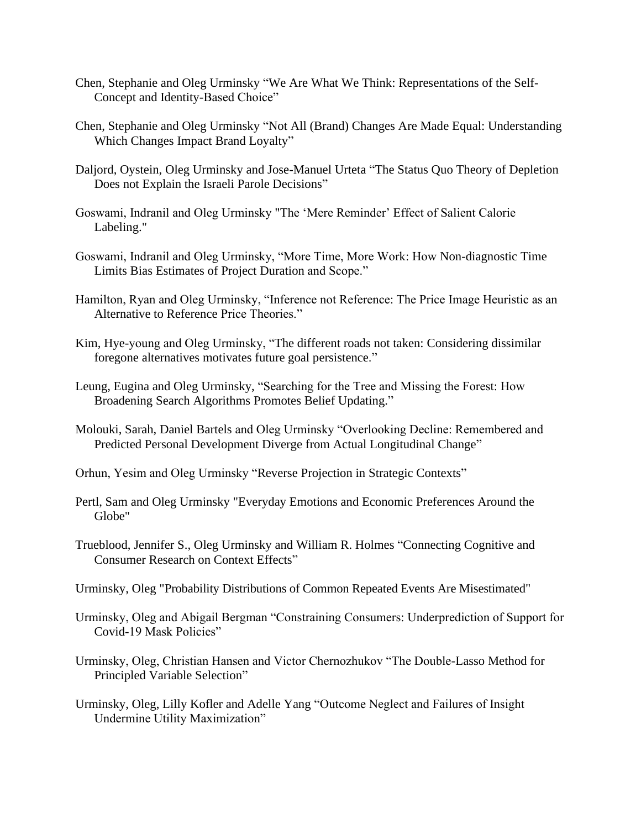- Chen, Stephanie and Oleg Urminsky "We Are What We Think: Representations of the Self-Concept and Identity-Based Choice"
- Chen, Stephanie and Oleg Urminsky "Not All (Brand) Changes Are Made Equal: Understanding Which Changes Impact Brand Loyalty"
- Daljord, Oystein, Oleg Urminsky and Jose-Manuel Urteta "The Status Quo Theory of Depletion Does not Explain the Israeli Parole Decisions"
- Goswami, Indranil and Oleg Urminsky "The 'Mere Reminder' Effect of Salient Calorie Labeling."
- Goswami, Indranil and Oleg Urminsky, "More Time, More Work: How Non-diagnostic Time Limits Bias Estimates of Project Duration and Scope."
- Hamilton, Ryan and Oleg Urminsky, "Inference not Reference: The Price Image Heuristic as an Alternative to Reference Price Theories."
- Kim, Hye-young and Oleg Urminsky, "The different roads not taken: Considering dissimilar foregone alternatives motivates future goal persistence."
- Leung, Eugina and Oleg Urminsky, "Searching for the Tree and Missing the Forest: How Broadening Search Algorithms Promotes Belief Updating."
- Molouki, Sarah, Daniel Bartels and Oleg Urminsky "Overlooking Decline: Remembered and Predicted Personal Development Diverge from Actual Longitudinal Change"
- Orhun, Yesim and Oleg Urminsky "Reverse Projection in Strategic Contexts"
- Pertl, Sam and Oleg Urminsky "Everyday Emotions and Economic Preferences Around the Globe"
- Trueblood, Jennifer S., Oleg Urminsky and William R. Holmes "Connecting Cognitive and Consumer Research on Context Effects"
- Urminsky, Oleg "Probability Distributions of Common Repeated Events Are Misestimated"
- Urminsky, Oleg and Abigail Bergman "Constraining Consumers: Underprediction of Support for Covid-19 Mask Policies"
- Urminsky, Oleg, Christian Hansen and Victor Chernozhukov "The Double-Lasso Method for Principled Variable Selection"
- Urminsky, Oleg, Lilly Kofler and Adelle Yang "Outcome Neglect and Failures of Insight Undermine Utility Maximization"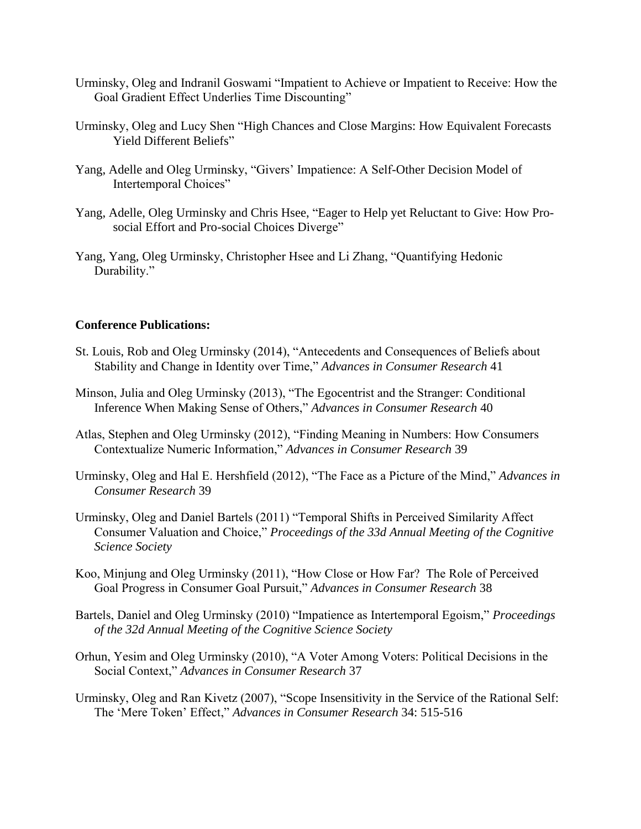- Urminsky, Oleg and Indranil Goswami "Impatient to Achieve or Impatient to Receive: How the Goal Gradient Effect Underlies Time Discounting"
- Urminsky, Oleg and Lucy Shen "High Chances and Close Margins: How Equivalent Forecasts Yield Different Beliefs"
- Yang, Adelle and Oleg Urminsky, "Givers' Impatience: A Self-Other Decision Model of Intertemporal Choices"
- Yang, Adelle, Oleg Urminsky and Chris Hsee, "Eager to Help yet Reluctant to Give: How Prosocial Effort and Pro-social Choices Diverge"
- Yang, Yang, Oleg Urminsky, Christopher Hsee and Li Zhang, "Quantifying Hedonic Durability."

## **Conference Publications:**

- St. Louis, Rob and Oleg Urminsky (2014), "Antecedents and Consequences of Beliefs about Stability and Change in Identity over Time," *Advances in Consumer Research* 41
- Minson, Julia and Oleg Urminsky (2013), "The Egocentrist and the Stranger: Conditional Inference When Making Sense of Others," *Advances in Consumer Research* 40
- Atlas, Stephen and Oleg Urminsky (2012), "Finding Meaning in Numbers: How Consumers Contextualize Numeric Information," *Advances in Consumer Research* 39
- Urminsky, Oleg and Hal E. Hershfield (2012), "The Face as a Picture of the Mind," *Advances in Consumer Research* 39
- Urminsky, Oleg and Daniel Bartels (2011) "Temporal Shifts in Perceived Similarity Affect Consumer Valuation and Choice," *Proceedings of the 33d Annual Meeting of the Cognitive Science Society*
- Koo, Minjung and Oleg Urminsky (2011), "How Close or How Far? The Role of Perceived Goal Progress in Consumer Goal Pursuit," *Advances in Consumer Research* 38
- Bartels, Daniel and Oleg Urminsky (2010) "Impatience as Intertemporal Egoism," *Proceedings of the 32d Annual Meeting of the Cognitive Science Society*
- Orhun, Yesim and Oleg Urminsky (2010), "A Voter Among Voters: Political Decisions in the Social Context," *Advances in Consumer Research* 37
- Urminsky, Oleg and Ran Kivetz (2007), "Scope Insensitivity in the Service of the Rational Self: The 'Mere Token' Effect," *Advances in Consumer Research* 34: 515-516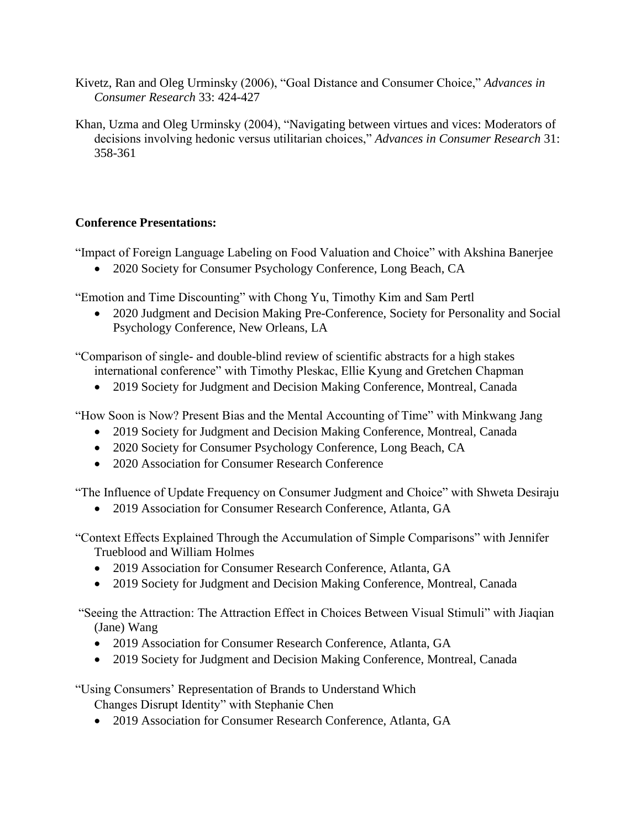- Kivetz, Ran and Oleg Urminsky (2006), "Goal Distance and Consumer Choice," *Advances in Consumer Research* 33: 424-427
- Khan, Uzma and Oleg Urminsky (2004), "Navigating between virtues and vices: Moderators of decisions involving hedonic versus utilitarian choices," *Advances in Consumer Research* 31: 358-361

# **Conference Presentations:**

"Impact of Foreign Language Labeling on Food Valuation and Choice" with Akshina Banerjee

• 2020 Society for Consumer Psychology Conference, Long Beach, CA

"Emotion and Time Discounting" with Chong Yu, Timothy Kim and Sam Pertl

• 2020 Judgment and Decision Making Pre-Conference, Society for Personality and Social Psychology Conference, New Orleans, LA

"Comparison of single- and double-blind review of scientific abstracts for a high stakes international conference" with Timothy Pleskac, Ellie Kyung and Gretchen Chapman

• 2019 Society for Judgment and Decision Making Conference, Montreal, Canada

"How Soon is Now? Present Bias and the Mental Accounting of Time" with Minkwang Jang

- 2019 Society for Judgment and Decision Making Conference, Montreal, Canada
- 2020 Society for Consumer Psychology Conference, Long Beach, CA
- 2020 Association for Consumer Research Conference

"The Influence of Update Frequency on Consumer Judgment and Choice" with Shweta Desiraju

• 2019 Association for Consumer Research Conference, Atlanta, GA

"Context Effects Explained Through the Accumulation of Simple Comparisons" with Jennifer Trueblood and William Holmes

- 2019 Association for Consumer Research Conference, Atlanta, GA
- 2019 Society for Judgment and Decision Making Conference, Montreal, Canada

"Seeing the Attraction: The Attraction Effect in Choices Between Visual Stimuli" with Jiaqian (Jane) Wang

- 2019 Association for Consumer Research Conference, Atlanta, GA
- 2019 Society for Judgment and Decision Making Conference, Montreal, Canada

"Using Consumers' Representation of Brands to Understand Which

Changes Disrupt Identity" with Stephanie Chen

• 2019 Association for Consumer Research Conference, Atlanta, GA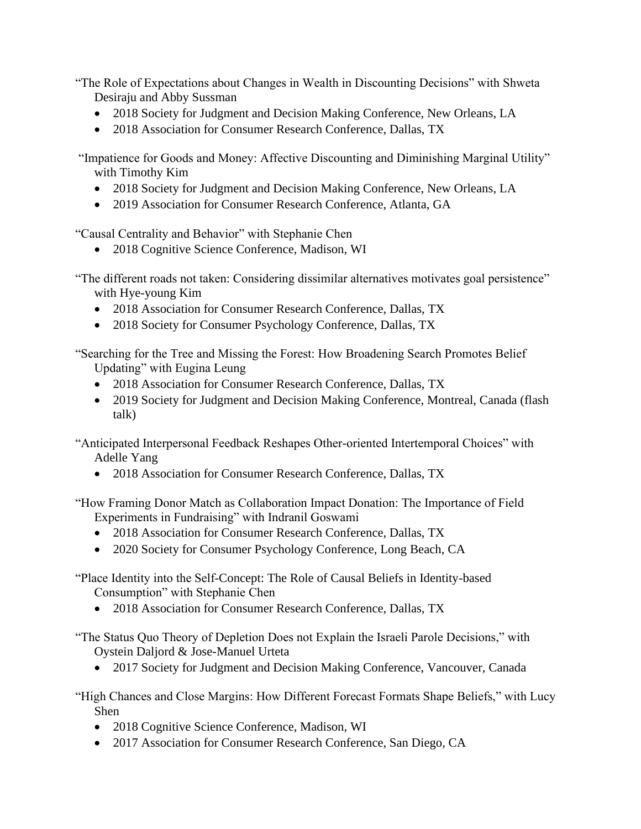"The Role of Expectations about Changes in Wealth in Discounting Decisions" with Shweta Desiraju and Abby Sussman

- 2018 Society for Judgment and Decision Making Conference, New Orleans, LA
- 2018 Association for Consumer Research Conference, Dallas, TX

"Impatience for Goods and Money: Affective Discounting and Diminishing Marginal Utility" with Timothy Kim

- 2018 Society for Judgment and Decision Making Conference, New Orleans, LA
- 2019 Association for Consumer Research Conference, Atlanta, GA

"Causal Centrality and Behavior" with Stephanie Chen

• 2018 Cognitive Science Conference, Madison, WI

"The different roads not taken: Considering dissimilar alternatives motivates goal persistence" with Hye-young Kim

- 2018 Association for Consumer Research Conference, Dallas, TX
- 2018 Society for Consumer Psychology Conference, Dallas, TX

"Searching for the Tree and Missing the Forest: How Broadening Search Promotes Belief Updating" with Eugina Leung

- 2018 Association for Consumer Research Conference, Dallas, TX
- 2019 Society for Judgment and Decision Making Conference, Montreal, Canada (flash talk)

"Anticipated Interpersonal Feedback Reshapes Other-oriented Intertemporal Choices" with Adelle Yang

• 2018 Association for Consumer Research Conference, Dallas, TX

"How Framing Donor Match as Collaboration Impact Donation: The Importance of Field Experiments in Fundraising" with Indranil Goswami

- 2018 Association for Consumer Research Conference, Dallas, TX
- 2020 Society for Consumer Psychology Conference, Long Beach, CA

"Place Identity into the Self-Concept: The Role of Causal Beliefs in Identity-based Consumption" with Stephanie Chen

• 2018 Association for Consumer Research Conference, Dallas, TX

"The Status Quo Theory of Depletion Does not Explain the Israeli Parole Decisions," with Oystein Daljord & Jose-Manuel Urteta

• 2017 Society for Judgment and Decision Making Conference, Vancouver, Canada

"High Chances and Close Margins: How Different Forecast Formats Shape Beliefs," with Lucy Shen

- 2018 Cognitive Science Conference, Madison, WI
- 2017 Association for Consumer Research Conference, San Diego, CA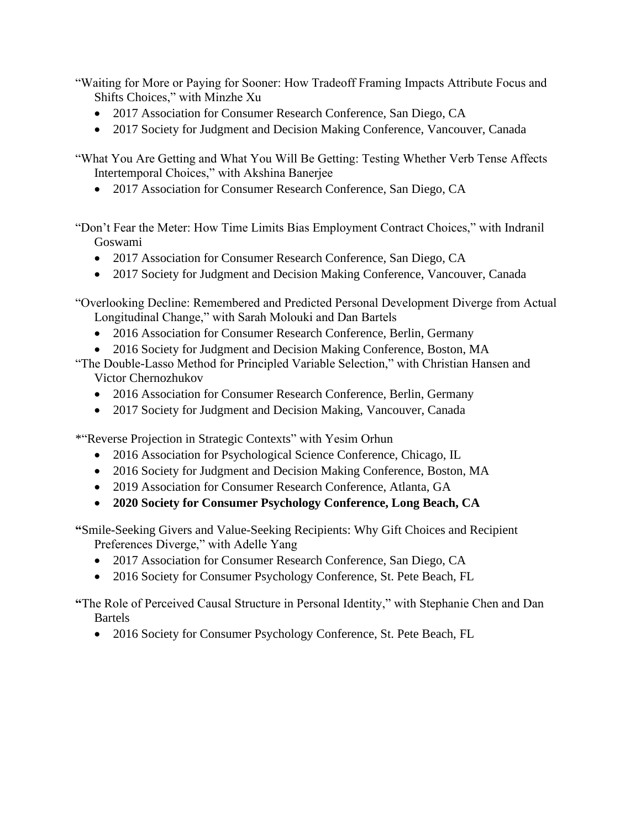"Waiting for More or Paying for Sooner: How Tradeoff Framing Impacts Attribute Focus and Shifts Choices," with Minzhe Xu

- 2017 Association for Consumer Research Conference, San Diego, CA
- 2017 Society for Judgment and Decision Making Conference, Vancouver, Canada

"What You Are Getting and What You Will Be Getting: Testing Whether Verb Tense Affects Intertemporal Choices," with Akshina Banerjee

• 2017 Association for Consumer Research Conference, San Diego, CA

"Don't Fear the Meter: How Time Limits Bias Employment Contract Choices," with Indranil Goswami

- 2017 Association for Consumer Research Conference, San Diego, CA
- 2017 Society for Judgment and Decision Making Conference, Vancouver, Canada

"Overlooking Decline: Remembered and Predicted Personal Development Diverge from Actual Longitudinal Change," with Sarah Molouki and Dan Bartels

- 2016 Association for Consumer Research Conference, Berlin, Germany
- 2016 Society for Judgment and Decision Making Conference, Boston, MA

"The Double-Lasso Method for Principled Variable Selection," with Christian Hansen and Victor Chernozhukov

- 2016 Association for Consumer Research Conference, Berlin, Germany
- 2017 Society for Judgment and Decision Making, Vancouver, Canada

\*"Reverse Projection in Strategic Contexts" with Yesim Orhun

- 2016 Association for Psychological Science Conference, Chicago, IL
- 2016 Society for Judgment and Decision Making Conference, Boston, MA
- 2019 Association for Consumer Research Conference, Atlanta, GA
- **2020 Society for Consumer Psychology Conference, Long Beach, CA**

**"**Smile-Seeking Givers and Value-Seeking Recipients: Why Gift Choices and Recipient Preferences Diverge," with Adelle Yang

- 2017 Association for Consumer Research Conference, San Diego, CA
- 2016 Society for Consumer Psychology Conference, St. Pete Beach, FL

**"**The Role of Perceived Causal Structure in Personal Identity," with Stephanie Chen and Dan Bartels

• 2016 Society for Consumer Psychology Conference, St. Pete Beach, FL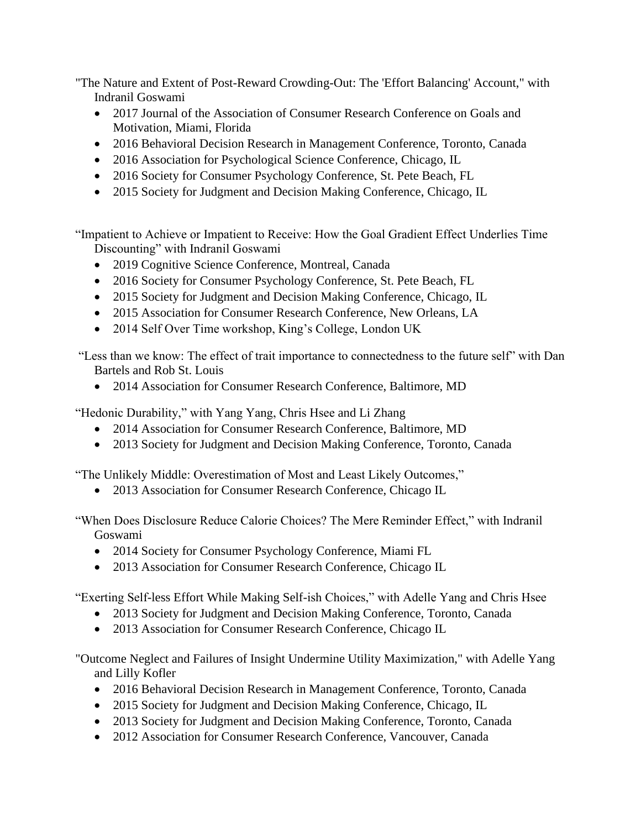"The Nature and Extent of Post-Reward Crowding-Out: The 'Effort Balancing' Account," with Indranil Goswami

- 2017 Journal of the Association of Consumer Research Conference on Goals and Motivation, Miami, Florida
- 2016 Behavioral Decision Research in Management Conference, Toronto, Canada
- 2016 Association for Psychological Science Conference, Chicago, IL
- 2016 Society for Consumer Psychology Conference, St. Pete Beach, FL
- 2015 Society for Judgment and Decision Making Conference, Chicago, IL

"Impatient to Achieve or Impatient to Receive: How the Goal Gradient Effect Underlies Time Discounting" with Indranil Goswami

- 2019 Cognitive Science Conference, Montreal, Canada
- 2016 Society for Consumer Psychology Conference, St. Pete Beach, FL
- 2015 Society for Judgment and Decision Making Conference, Chicago, IL
- 2015 Association for Consumer Research Conference, New Orleans, LA
- 2014 Self Over Time workshop, King's College, London UK

"Less than we know: The effect of trait importance to connectedness to the future self" with Dan Bartels and Rob St. Louis

• 2014 Association for Consumer Research Conference, Baltimore, MD

"Hedonic Durability," with Yang Yang, Chris Hsee and Li Zhang

- 2014 Association for Consumer Research Conference, Baltimore, MD
- 2013 Society for Judgment and Decision Making Conference, Toronto, Canada

"The Unlikely Middle: Overestimation of Most and Least Likely Outcomes,"

• 2013 Association for Consumer Research Conference, Chicago IL

"When Does Disclosure Reduce Calorie Choices? The Mere Reminder Effect," with Indranil Goswami

- 2014 Society for Consumer Psychology Conference, Miami FL
- 2013 Association for Consumer Research Conference, Chicago IL

"Exerting Self-less Effort While Making Self-ish Choices," with Adelle Yang and Chris Hsee

- 2013 Society for Judgment and Decision Making Conference, Toronto, Canada
- 2013 Association for Consumer Research Conference, Chicago IL

"Outcome Neglect and Failures of Insight Undermine Utility Maximization," with Adelle Yang and Lilly Kofler

- 2016 Behavioral Decision Research in Management Conference, Toronto, Canada
- 2015 Society for Judgment and Decision Making Conference, Chicago, IL
- 2013 Society for Judgment and Decision Making Conference, Toronto, Canada
- 2012 Association for Consumer Research Conference, Vancouver, Canada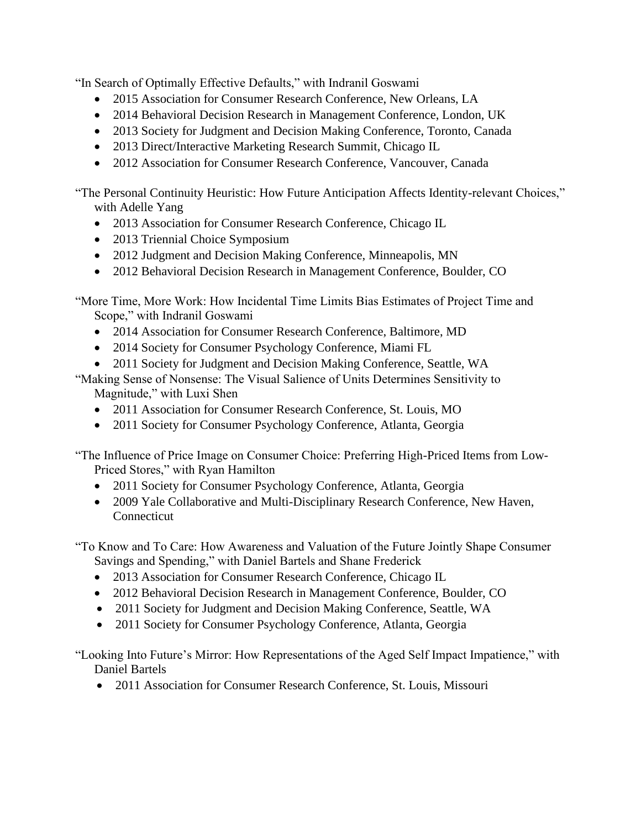"In Search of Optimally Effective Defaults," with Indranil Goswami

- 2015 Association for Consumer Research Conference, New Orleans, LA
- 2014 Behavioral Decision Research in Management Conference, London, UK
- 2013 Society for Judgment and Decision Making Conference, Toronto, Canada
- 2013 Direct/Interactive Marketing Research Summit, Chicago IL
- 2012 Association for Consumer Research Conference, Vancouver, Canada

"The Personal Continuity Heuristic: How Future Anticipation Affects Identity-relevant Choices," with Adelle Yang

- 2013 Association for Consumer Research Conference, Chicago IL
- 2013 Triennial Choice Symposium
- 2012 Judgment and Decision Making Conference, Minneapolis, MN
- 2012 Behavioral Decision Research in Management Conference, Boulder, CO

"More Time, More Work: How Incidental Time Limits Bias Estimates of Project Time and Scope," with Indranil Goswami

- 2014 Association for Consumer Research Conference, Baltimore, MD
- 2014 Society for Consumer Psychology Conference, Miami FL
- 2011 Society for Judgment and Decision Making Conference, Seattle, WA

"Making Sense of Nonsense: The Visual Salience of Units Determines Sensitivity to Magnitude," with Luxi Shen

- 2011 Association for Consumer Research Conference, St. Louis, MO
- 2011 Society for Consumer Psychology Conference, Atlanta, Georgia

"The Influence of Price Image on Consumer Choice: Preferring High-Priced Items from Low-Priced Stores," with Ryan Hamilton

- 2011 Society for Consumer Psychology Conference, Atlanta, Georgia
- 2009 Yale Collaborative and Multi-Disciplinary Research Conference, New Haven, **Connecticut**

"To Know and To Care: How Awareness and Valuation of the Future Jointly Shape Consumer Savings and Spending," with Daniel Bartels and Shane Frederick

- 2013 Association for Consumer Research Conference, Chicago IL
- 2012 Behavioral Decision Research in Management Conference, Boulder, CO
- 2011 Society for Judgment and Decision Making Conference, Seattle, WA
- 2011 Society for Consumer Psychology Conference, Atlanta, Georgia

"Looking Into Future's Mirror: How Representations of the Aged Self Impact Impatience," with Daniel Bartels

• 2011 Association for Consumer Research Conference, St. Louis, Missouri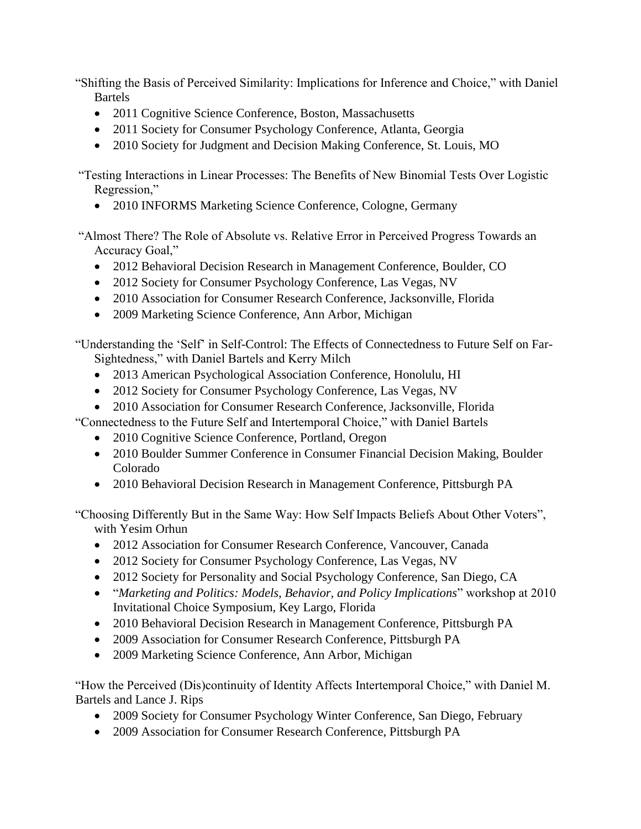"Shifting the Basis of Perceived Similarity: Implications for Inference and Choice," with Daniel Bartels

- 2011 Cognitive Science Conference, Boston, Massachusetts
- 2011 Society for Consumer Psychology Conference, Atlanta, Georgia
- 2010 Society for Judgment and Decision Making Conference, St. Louis, MO

"Testing Interactions in Linear Processes: The Benefits of New Binomial Tests Over Logistic Regression,"

• 2010 INFORMS Marketing Science Conference, Cologne, Germany

"Almost There? The Role of Absolute vs. Relative Error in Perceived Progress Towards an Accuracy Goal,"

- 2012 Behavioral Decision Research in Management Conference, Boulder, CO
- 2012 Society for Consumer Psychology Conference, Las Vegas, NV
- 2010 Association for Consumer Research Conference, Jacksonville, Florida
- 2009 Marketing Science Conference, Ann Arbor, Michigan

"Understanding the 'Self' in Self-Control: The Effects of Connectedness to Future Self on Far-Sightedness," with Daniel Bartels and Kerry Milch

- 2013 American Psychological Association Conference, Honolulu, HI
- 2012 Society for Consumer Psychology Conference, Las Vegas, NV
- 2010 Association for Consumer Research Conference, Jacksonville, Florida

"Connectedness to the Future Self and Intertemporal Choice," with Daniel Bartels

- 2010 Cognitive Science Conference, Portland, Oregon
- 2010 Boulder Summer Conference in Consumer Financial Decision Making, Boulder Colorado
- 2010 Behavioral Decision Research in Management Conference, Pittsburgh PA

"Choosing Differently But in the Same Way: How Self Impacts Beliefs About Other Voters", with Yesim Orhun

- 2012 Association for Consumer Research Conference, Vancouver, Canada
- 2012 Society for Consumer Psychology Conference, Las Vegas, NV
- 2012 Society for Personality and Social Psychology Conference, San Diego, CA
- "*Marketing and Politics: Models, Behavior, and Policy Implications*" workshop at 2010 Invitational Choice Symposium, Key Largo, Florida
- 2010 Behavioral Decision Research in Management Conference, Pittsburgh PA
- 2009 Association for Consumer Research Conference, Pittsburgh PA
- 2009 Marketing Science Conference, Ann Arbor, Michigan

"How the Perceived (Dis)continuity of Identity Affects Intertemporal Choice," with Daniel M. Bartels and Lance J. Rips

- 2009 Society for Consumer Psychology Winter Conference, San Diego, February
- 2009 Association for Consumer Research Conference, Pittsburgh PA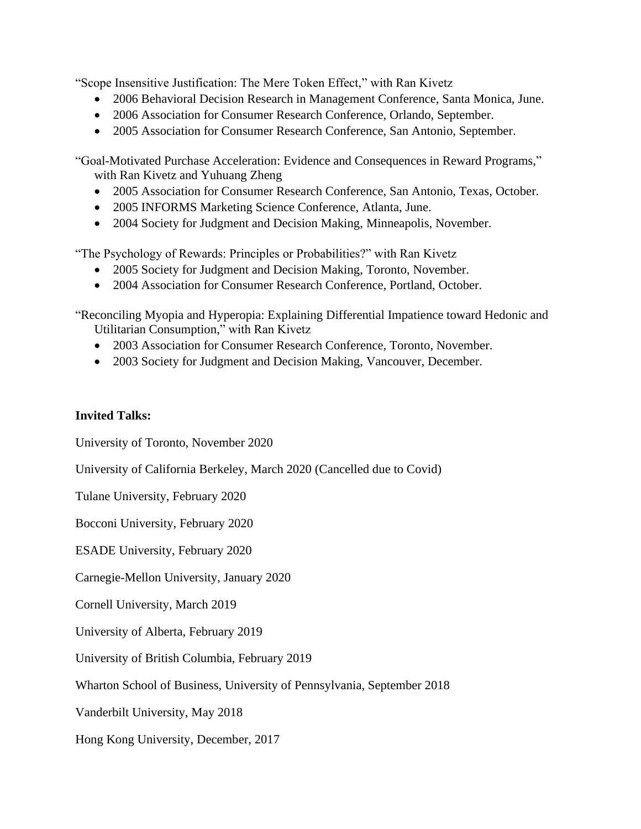"Scope Insensitive Justification: The Mere Token Effect," with Ran Kivetz

- 2006 Behavioral Decision Research in Management Conference, Santa Monica, June.
- 2006 Association for Consumer Research Conference, Orlando, September.
- 2005 Association for Consumer Research Conference, San Antonio, September.

"Goal-Motivated Purchase Acceleration: Evidence and Consequences in Reward Programs," with Ran Kivetz and Yuhuang Zheng

- 2005 Association for Consumer Research Conference, San Antonio, Texas, October.
- 2005 INFORMS Marketing Science Conference, Atlanta, June.
- 2004 Society for Judgment and Decision Making, Minneapolis, November.

"The Psychology of Rewards: Principles or Probabilities?" with Ran Kivetz

- 2005 Society for Judgment and Decision Making, Toronto, November.
- 2004 Association for Consumer Research Conference, Portland, October.

"Reconciling Myopia and Hyperopia: Explaining Differential Impatience toward Hedonic and Utilitarian Consumption," with Ran Kivetz

- 2003 Association for Consumer Research Conference, Toronto, November.
- 2003 Society for Judgment and Decision Making, Vancouver, December.

# **Invited Talks:**

University of Toronto, November 2020

University of California Berkeley, March 2020 (Cancelled due to Covid)

Tulane University, February 2020

Bocconi University, February 2020

ESADE University, February 2020

Carnegie-Mellon University, January 2020

Cornell University, March 2019

University of Alberta, February 2019

University of British Columbia, February 2019

Wharton School of Business, University of Pennsylvania, September 2018

Vanderbilt University, May 2018

Hong Kong University, December, 2017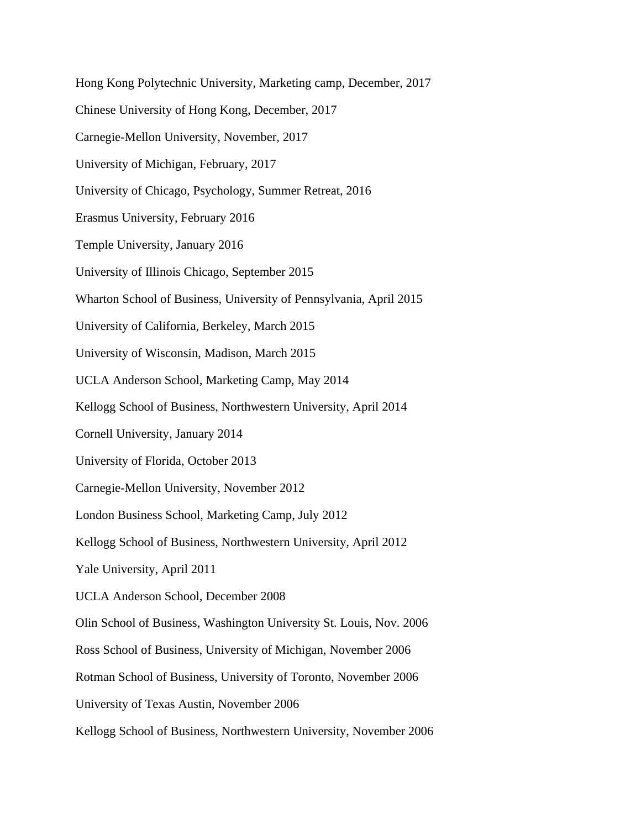Hong Kong Polytechnic University, Marketing camp, December, 2017 Chinese University of Hong Kong, December, 2017 Carnegie-Mellon University, November, 2017 University of Michigan, February, 2017 University of Chicago, Psychology, Summer Retreat, 2016 Erasmus University, February 2016 Temple University, January 2016 University of Illinois Chicago, September 2015 Wharton School of Business, University of Pennsylvania, April 2015 University of California, Berkeley, March 2015 University of Wisconsin, Madison, March 2015 UCLA Anderson School, Marketing Camp, May 2014 Kellogg School of Business, Northwestern University, April 2014 Cornell University, January 2014 University of Florida, October 2013 Carnegie-Mellon University, November 2012 London Business School, Marketing Camp, July 2012 Kellogg School of Business, Northwestern University, April 2012 Yale University, April 2011 UCLA Anderson School, December 2008 Olin School of Business, Washington University St. Louis, Nov. 2006 Ross School of Business, University of Michigan, November 2006 Rotman School of Business, University of Toronto, November 2006 University of Texas Austin, November 2006 Kellogg School of Business, Northwestern University, November 2006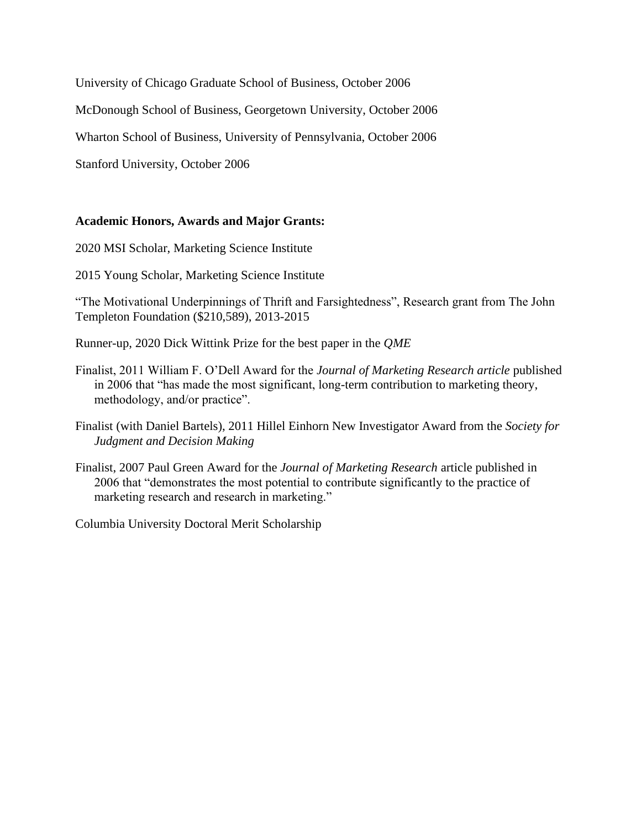University of Chicago Graduate School of Business, October 2006

McDonough School of Business, Georgetown University, October 2006

Wharton School of Business, University of Pennsylvania, October 2006

Stanford University, October 2006

## **Academic Honors, Awards and Major Grants:**

2020 MSI Scholar, Marketing Science Institute

2015 Young Scholar, Marketing Science Institute

"The Motivational Underpinnings of Thrift and Farsightedness", Research grant from The John Templeton Foundation (\$210,589), 2013-2015

Runner-up, 2020 Dick Wittink Prize for the best paper in the *QME*

- Finalist, 2011 William F. O'Dell Award for the *Journal of Marketing Research article* published in 2006 that "has made the most significant, long-term contribution to marketing theory, methodology, and/or practice".
- Finalist (with Daniel Bartels), 2011 Hillel Einhorn New Investigator Award from the *Society for Judgment and Decision Making*
- Finalist, 2007 Paul Green Award for the *Journal of Marketing Research* article published in 2006 that "demonstrates the most potential to contribute significantly to the practice of marketing research and research in marketing."

Columbia University Doctoral Merit Scholarship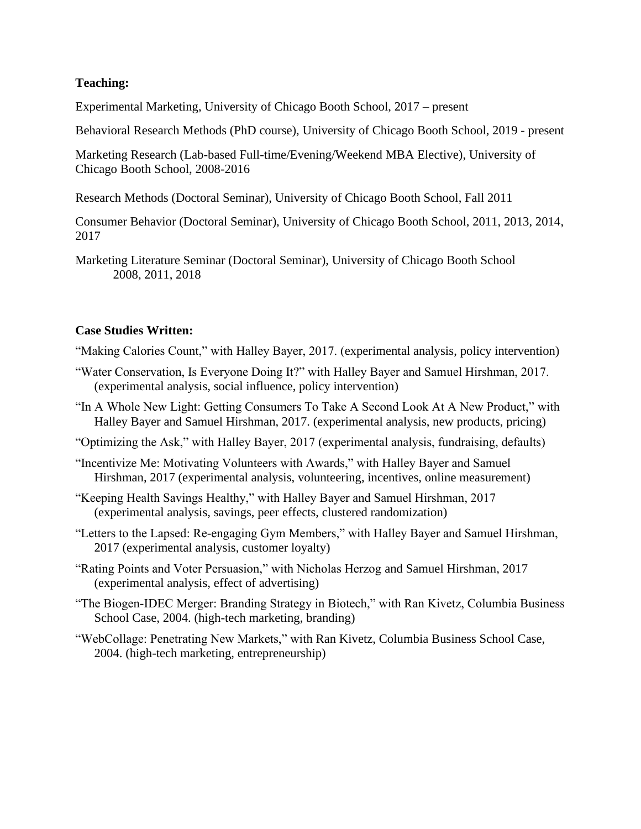# **Teaching:**

Experimental Marketing, University of Chicago Booth School, 2017 – present

Behavioral Research Methods (PhD course), University of Chicago Booth School, 2019 - present

Marketing Research (Lab-based Full-time/Evening/Weekend MBA Elective), University of Chicago Booth School, 2008-2016

Research Methods (Doctoral Seminar), University of Chicago Booth School, Fall 2011

Consumer Behavior (Doctoral Seminar), University of Chicago Booth School, 2011, 2013, 2014, 2017

Marketing Literature Seminar (Doctoral Seminar), University of Chicago Booth School 2008, 2011, 2018

## **Case Studies Written:**

"Making Calories Count," with Halley Bayer, 2017. (experimental analysis, policy intervention)

"Water Conservation, Is Everyone Doing It?" with Halley Bayer and Samuel Hirshman, 2017. (experimental analysis, social influence, policy intervention)

"In A Whole New Light: Getting Consumers To Take A Second Look At A New Product," with Halley Bayer and Samuel Hirshman, 2017. (experimental analysis, new products, pricing)

"Optimizing the Ask," with Halley Bayer, 2017 (experimental analysis, fundraising, defaults)

- "Incentivize Me: Motivating Volunteers with Awards," with Halley Bayer and Samuel Hirshman, 2017 (experimental analysis, volunteering, incentives, online measurement)
- "Keeping Health Savings Healthy," with Halley Bayer and Samuel Hirshman, 2017 (experimental analysis, savings, peer effects, clustered randomization)
- "Letters to the Lapsed: Re-engaging Gym Members," with Halley Bayer and Samuel Hirshman, 2017 (experimental analysis, customer loyalty)
- "Rating Points and Voter Persuasion," with Nicholas Herzog and Samuel Hirshman, 2017 (experimental analysis, effect of advertising)
- "The Biogen-IDEC Merger: Branding Strategy in Biotech," with Ran Kivetz, Columbia Business School Case, 2004. (high-tech marketing, branding)
- "WebCollage: Penetrating New Markets," with Ran Kivetz, Columbia Business School Case, 2004. (high-tech marketing, entrepreneurship)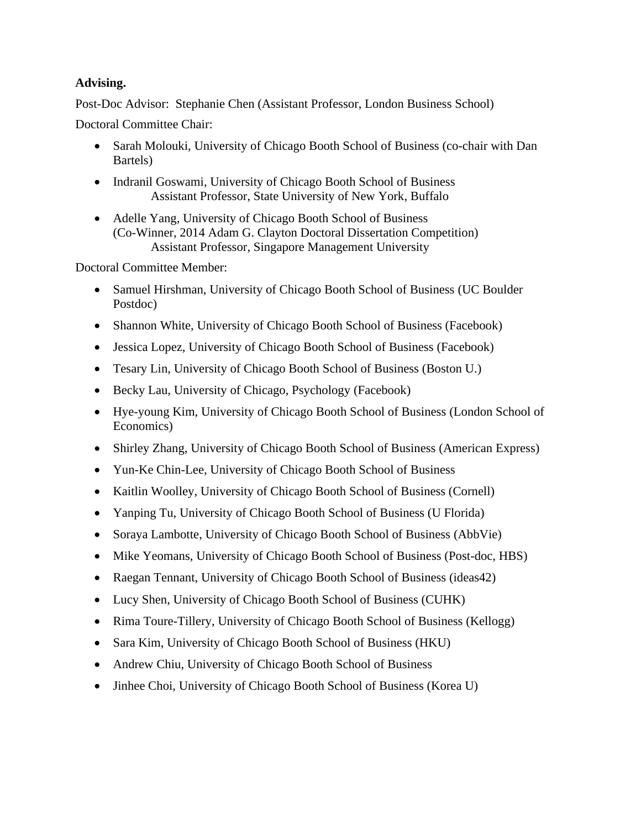# **Advising.**

Post-Doc Advisor: Stephanie Chen (Assistant Professor, London Business School)

Doctoral Committee Chair:

- Sarah Molouki, University of Chicago Booth School of Business (co-chair with Dan Bartels)
- Indranil Goswami, University of Chicago Booth School of Business Assistant Professor, State University of New York, Buffalo
- Adelle Yang, University of Chicago Booth School of Business (Co-Winner, 2014 Adam G. Clayton Doctoral Dissertation Competition) Assistant Professor, Singapore Management University

Doctoral Committee Member:

- Samuel Hirshman, University of Chicago Booth School of Business (UC Boulder Postdoc)
- Shannon White, University of Chicago Booth School of Business (Facebook)
- Jessica Lopez, University of Chicago Booth School of Business (Facebook)
- Tesary Lin, University of Chicago Booth School of Business (Boston U.)
- Becky Lau, University of Chicago, Psychology (Facebook)
- Hye-young Kim, University of Chicago Booth School of Business (London School of Economics)
- Shirley Zhang, University of Chicago Booth School of Business (American Express)
- Yun-Ke Chin-Lee, University of Chicago Booth School of Business
- Kaitlin Woolley, University of Chicago Booth School of Business (Cornell)
- Yanping Tu, University of Chicago Booth School of Business (U Florida)
- Soraya Lambotte, University of Chicago Booth School of Business (AbbVie)
- Mike Yeomans, University of Chicago Booth School of Business (Post-doc, HBS)
- Raegan Tennant, University of Chicago Booth School of Business (ideas42)
- Lucy Shen, University of Chicago Booth School of Business (CUHK)
- Rima Toure-Tillery, University of Chicago Booth School of Business (Kellogg)
- Sara Kim, University of Chicago Booth School of Business (HKU)
- Andrew Chiu, University of Chicago Booth School of Business
- Jinhee Choi, University of Chicago Booth School of Business (Korea U)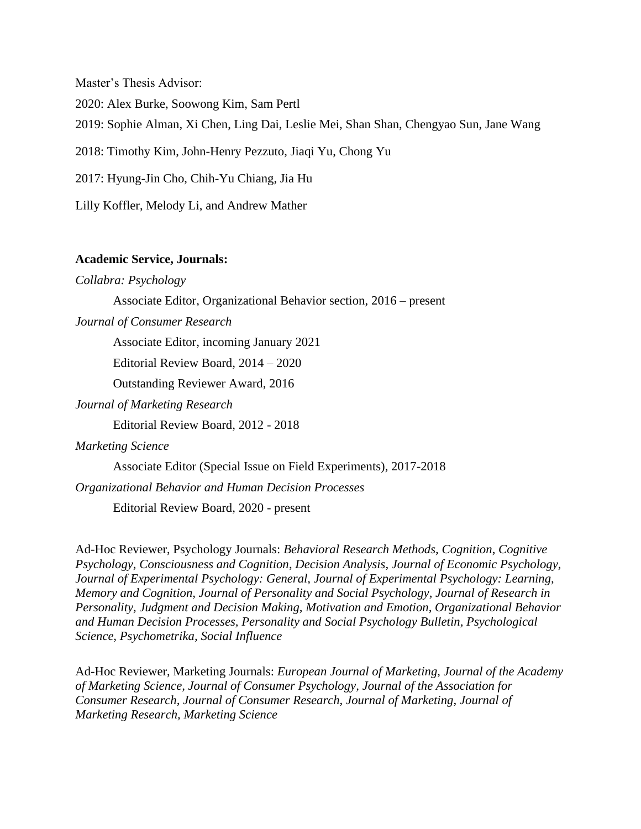Master's Thesis Advisor: 2020: Alex Burke, Soowong Kim, Sam Pertl 2019: Sophie Alman, Xi Chen, Ling Dai, Leslie Mei, Shan Shan, Chengyao Sun, Jane Wang 2018: Timothy Kim, John-Henry Pezzuto, Jiaqi Yu, Chong Yu 2017: Hyung-Jin Cho, Chih-Yu Chiang, Jia Hu Lilly Koffler, Melody Li, and Andrew Mather

#### **Academic Service, Journals:**

*Collabra: Psychology*

Associate Editor, Organizational Behavior section, 2016 – present

*Journal of Consumer Research*

Associate Editor, incoming January 2021

Editorial Review Board, 2014 – 2020

Outstanding Reviewer Award, 2016

*Journal of Marketing Research*

Editorial Review Board, 2012 - 2018

#### *Marketing Science*

Associate Editor (Special Issue on Field Experiments), 2017-2018

*Organizational Behavior and Human Decision Processes*

Editorial Review Board, 2020 - present

Ad-Hoc Reviewer, Psychology Journals: *Behavioral Research Methods, Cognition*, *Cognitive Psychology*, *Consciousness and Cognition*, *Decision Analysis, Journal of Economic Psychology, Journal of Experimental Psychology: General, Journal of Experimental Psychology: Learning, Memory and Cognition, Journal of Personality and Social Psychology, Journal of Research in Personality, Judgment and Decision Making, Motivation and Emotion, Organizational Behavior and Human Decision Processes, Personality and Social Psychology Bulletin, Psychological Science, Psychometrika, Social Influence*

Ad-Hoc Reviewer, Marketing Journals: *European Journal of Marketing*, *Journal of the Academy of Marketing Science, Journal of Consumer Psychology, Journal of the Association for Consumer Research, Journal of Consumer Research, Journal of Marketing, Journal of Marketing Research, Marketing Science*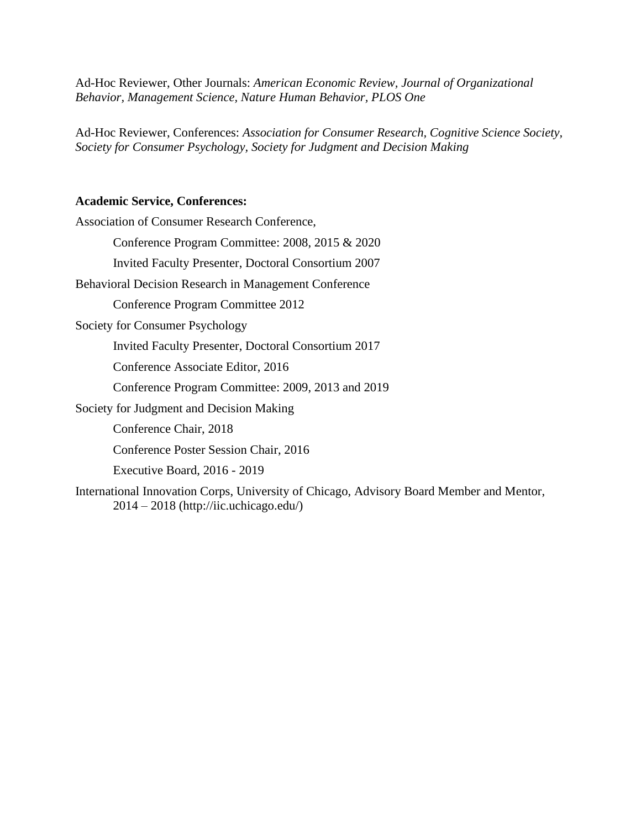Ad-Hoc Reviewer, Other Journals: *American Economic Review, Journal of Organizational Behavior, Management Science, Nature Human Behavior, PLOS One*

Ad-Hoc Reviewer, Conferences: *Association for Consumer Research, Cognitive Science Society, Society for Consumer Psychology, Society for Judgment and Decision Making*

#### **Academic Service, Conferences:**

Association of Consumer Research Conference, Conference Program Committee: 2008, 2015 & 2020 Invited Faculty Presenter, Doctoral Consortium 2007 Behavioral Decision Research in Management Conference Conference Program Committee 2012 Society for Consumer Psychology Invited Faculty Presenter, Doctoral Consortium 2017 Conference Associate Editor, 2016 Conference Program Committee: 2009, 2013 and 2019 Society for Judgment and Decision Making Conference Chair, 2018 Conference Poster Session Chair, 2016 Executive Board, 2016 - 2019 International Innovation Corps, University of Chicago, Advisory Board Member and Mentor, 2014 – 2018 (http://iic.uchicago.edu/)